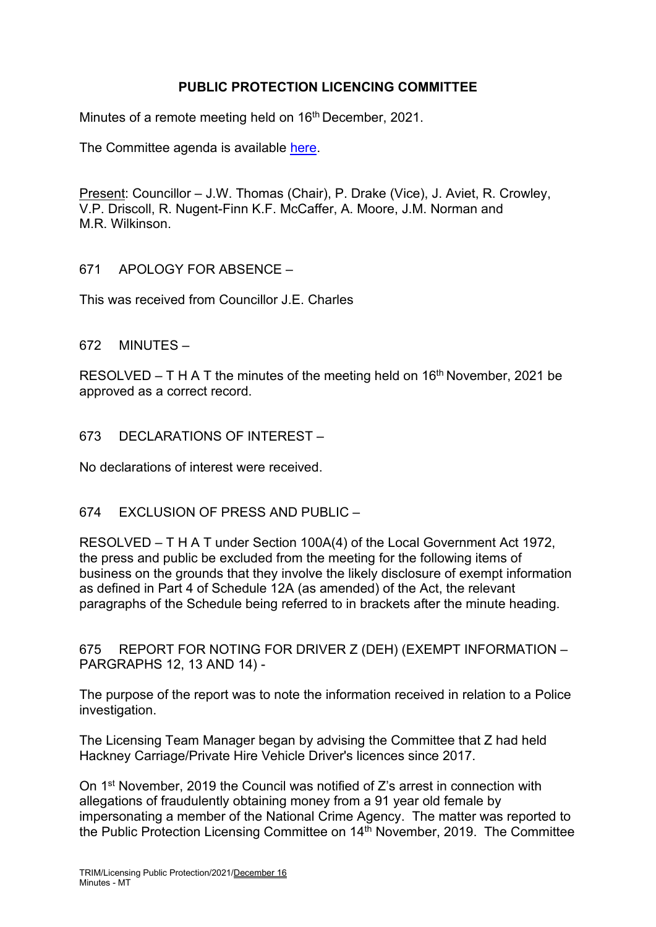# **PUBLIC PROTECTION LICENCING COMMITTEE**

Minutes of a remote meeting held on 16<sup>th</sup> December, 2021.

The Committee agenda is available [here.](https://www.valeofglamorgan.gov.uk/en/our_council/Council-Structure/minutes,_agendas_and_reports/agendas/Licensing-Public-Protection/2021/21-12-16.aspx)

Present: Councillor – J.W. Thomas (Chair), P. Drake (Vice), J. Aviet, R. Crowley, V.P. Driscoll, R. Nugent-Finn K.F. McCaffer, A. Moore, J.M. Norman and M.R. Wilkinson.

671 APOLOGY FOR ABSENCE –

This was received from Councillor J.E. Charles

672 MINUTES –

RESOLVED – T H A T the minutes of the meeting held on  $16<sup>th</sup>$  November, 2021 be approved as a correct record.

673 DECLARATIONS OF INTEREST –

No declarations of interest were received.

## 674 EXCLUSION OF PRESS AND PUBLIC –

RESOLVED – T H A T under Section 100A(4) of the Local Government Act 1972, the press and public be excluded from the meeting for the following items of business on the grounds that they involve the likely disclosure of exempt information as defined in Part 4 of Schedule 12A (as amended) of the Act, the relevant paragraphs of the Schedule being referred to in brackets after the minute heading.

675 REPORT FOR NOTING FOR DRIVER Z (DEH) (EXEMPT INFORMATION – PARGRAPHS 12, 13 AND 14) -

The purpose of the report was to note the information received in relation to a Police investigation.

The Licensing Team Manager began by advising the Committee that Z had held Hackney Carriage/Private Hire Vehicle Driver's licences since 2017.

On 1st November, 2019 the Council was notified of Z's arrest in connection with allegations of fraudulently obtaining money from a 91 year old female by impersonating a member of the National Crime Agency. The matter was reported to the Public Protection Licensing Committee on 14th November, 2019. The Committee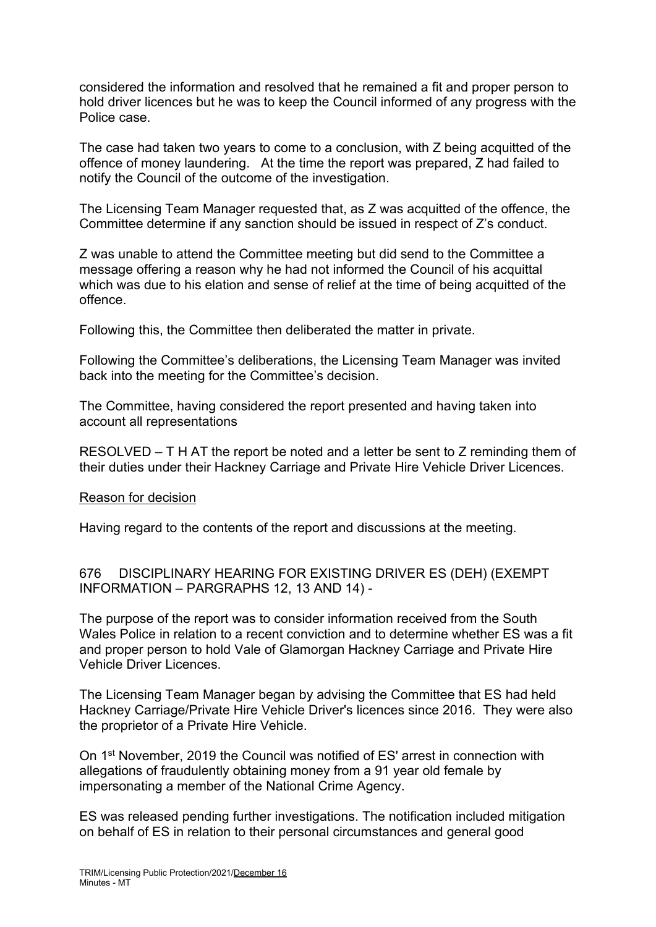considered the information and resolved that he remained a fit and proper person to hold driver licences but he was to keep the Council informed of any progress with the Police case.

The case had taken two years to come to a conclusion, with Z being acquitted of the offence of money laundering. At the time the report was prepared, Z had failed to notify the Council of the outcome of the investigation.

The Licensing Team Manager requested that, as Z was acquitted of the offence, the Committee determine if any sanction should be issued in respect of Z's conduct.

Z was unable to attend the Committee meeting but did send to the Committee a message offering a reason why he had not informed the Council of his acquittal which was due to his elation and sense of relief at the time of being acquitted of the offence.

Following this, the Committee then deliberated the matter in private.

Following the Committee's deliberations, the Licensing Team Manager was invited back into the meeting for the Committee's decision.

The Committee, having considered the report presented and having taken into account all representations

RESOLVED – T H AT the report be noted and a letter be sent to Z reminding them of their duties under their Hackney Carriage and Private Hire Vehicle Driver Licences.

#### Reason for decision

Having regard to the contents of the report and discussions at the meeting.

676 DISCIPLINARY HEARING FOR EXISTING DRIVER ES (DEH) (EXEMPT INFORMATION – PARGRAPHS 12, 13 AND 14) -

The purpose of the report was to consider information received from the South Wales Police in relation to a recent conviction and to determine whether ES was a fit and proper person to hold Vale of Glamorgan Hackney Carriage and Private Hire Vehicle Driver Licences.

The Licensing Team Manager began by advising the Committee that ES had held Hackney Carriage/Private Hire Vehicle Driver's licences since 2016. They were also the proprietor of a Private Hire Vehicle.

On 1st November, 2019 the Council was notified of ES' arrest in connection with allegations of fraudulently obtaining money from a 91 year old female by impersonating a member of the National Crime Agency.

ES was released pending further investigations. The notification included mitigation on behalf of ES in relation to their personal circumstances and general good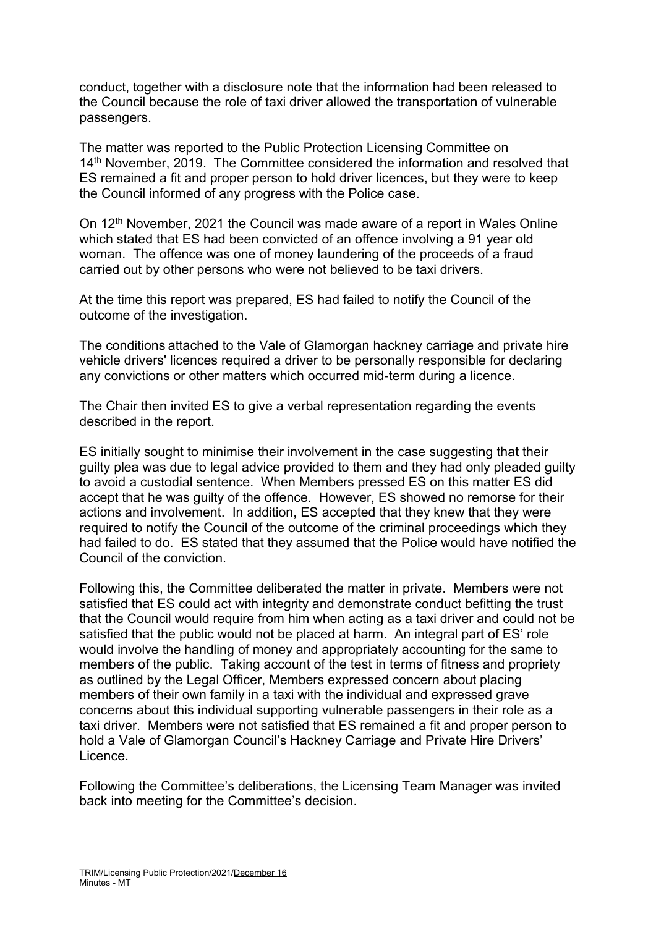conduct, together with a disclosure note that the information had been released to the Council because the role of taxi driver allowed the transportation of vulnerable passengers.

The matter was reported to the Public Protection Licensing Committee on 14<sup>th</sup> November, 2019. The Committee considered the information and resolved that ES remained a fit and proper person to hold driver licences, but they were to keep the Council informed of any progress with the Police case.

On 12<sup>th</sup> November, 2021 the Council was made aware of a report in Wales Online which stated that ES had been convicted of an offence involving a 91 year old woman. The offence was one of money laundering of the proceeds of a fraud carried out by other persons who were not believed to be taxi drivers.

At the time this report was prepared, ES had failed to notify the Council of the outcome of the investigation.

The conditions attached to the Vale of Glamorgan hackney carriage and private hire vehicle drivers' licences required a driver to be personally responsible for declaring any convictions or other matters which occurred mid-term during a licence.

The Chair then invited ES to give a verbal representation regarding the events described in the report.

ES initially sought to minimise their involvement in the case suggesting that their guilty plea was due to legal advice provided to them and they had only pleaded guilty to avoid a custodial sentence. When Members pressed ES on this matter ES did accept that he was guilty of the offence. However, ES showed no remorse for their actions and involvement. In addition, ES accepted that they knew that they were required to notify the Council of the outcome of the criminal proceedings which they had failed to do. ES stated that they assumed that the Police would have notified the Council of the conviction.

Following this, the Committee deliberated the matter in private. Members were not satisfied that ES could act with integrity and demonstrate conduct befitting the trust that the Council would require from him when acting as a taxi driver and could not be satisfied that the public would not be placed at harm. An integral part of ES' role would involve the handling of money and appropriately accounting for the same to members of the public. Taking account of the test in terms of fitness and propriety as outlined by the Legal Officer, Members expressed concern about placing members of their own family in a taxi with the individual and expressed grave concerns about this individual supporting vulnerable passengers in their role as a taxi driver. Members were not satisfied that ES remained a fit and proper person to hold a Vale of Glamorgan Council's Hackney Carriage and Private Hire Drivers' Licence.

Following the Committee's deliberations, the Licensing Team Manager was invited back into meeting for the Committee's decision.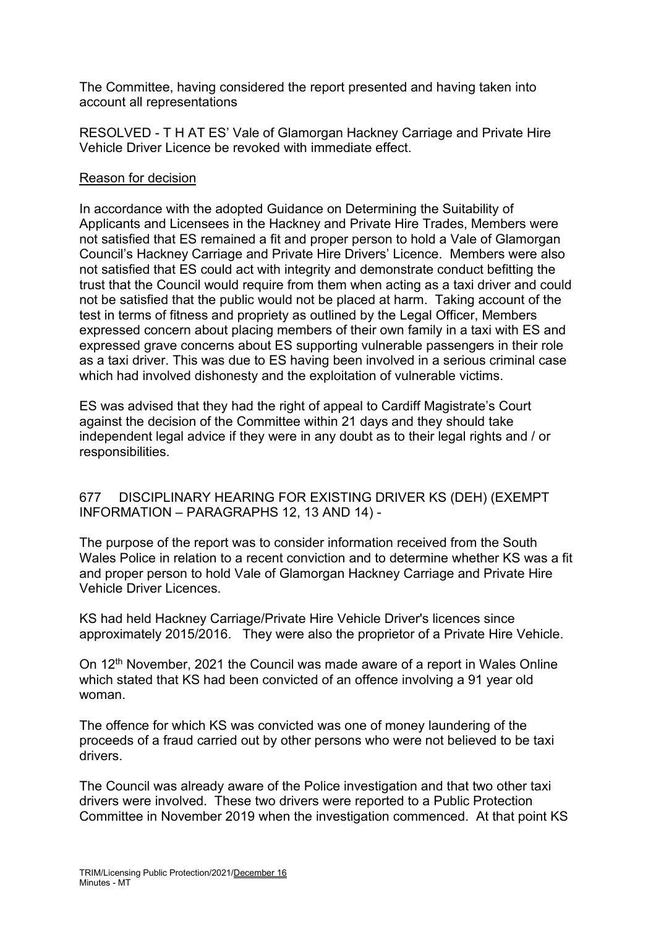The Committee, having considered the report presented and having taken into account all representations

RESOLVED - T H AT ES' Vale of Glamorgan Hackney Carriage and Private Hire Vehicle Driver Licence be revoked with immediate effect.

## Reason for decision

In accordance with the adopted Guidance on Determining the Suitability of Applicants and Licensees in the Hackney and Private Hire Trades, Members were not satisfied that ES remained a fit and proper person to hold a Vale of Glamorgan Council's Hackney Carriage and Private Hire Drivers' Licence. Members were also not satisfied that ES could act with integrity and demonstrate conduct befitting the trust that the Council would require from them when acting as a taxi driver and could not be satisfied that the public would not be placed at harm. Taking account of the test in terms of fitness and propriety as outlined by the Legal Officer, Members expressed concern about placing members of their own family in a taxi with ES and expressed grave concerns about ES supporting vulnerable passengers in their role as a taxi driver. This was due to ES having been involved in a serious criminal case which had involved dishonesty and the exploitation of vulnerable victims.

ES was advised that they had the right of appeal to Cardiff Magistrate's Court against the decision of the Committee within 21 days and they should take independent legal advice if they were in any doubt as to their legal rights and / or responsibilities.

## 677 DISCIPLINARY HEARING FOR EXISTING DRIVER KS (DEH) (EXEMPT INFORMATION – PARAGRAPHS 12, 13 AND 14) -

The purpose of the report was to consider information received from the South Wales Police in relation to a recent conviction and to determine whether KS was a fit and proper person to hold Vale of Glamorgan Hackney Carriage and Private Hire Vehicle Driver Licences.

KS had held Hackney Carriage/Private Hire Vehicle Driver's licences since approximately 2015/2016. They were also the proprietor of a Private Hire Vehicle.

On 12<sup>th</sup> November, 2021 the Council was made aware of a report in Wales Online which stated that KS had been convicted of an offence involving a 91 year old woman.

The offence for which KS was convicted was one of money laundering of the proceeds of a fraud carried out by other persons who were not believed to be taxi drivers.

The Council was already aware of the Police investigation and that two other taxi drivers were involved. These two drivers were reported to a Public Protection Committee in November 2019 when the investigation commenced. At that point KS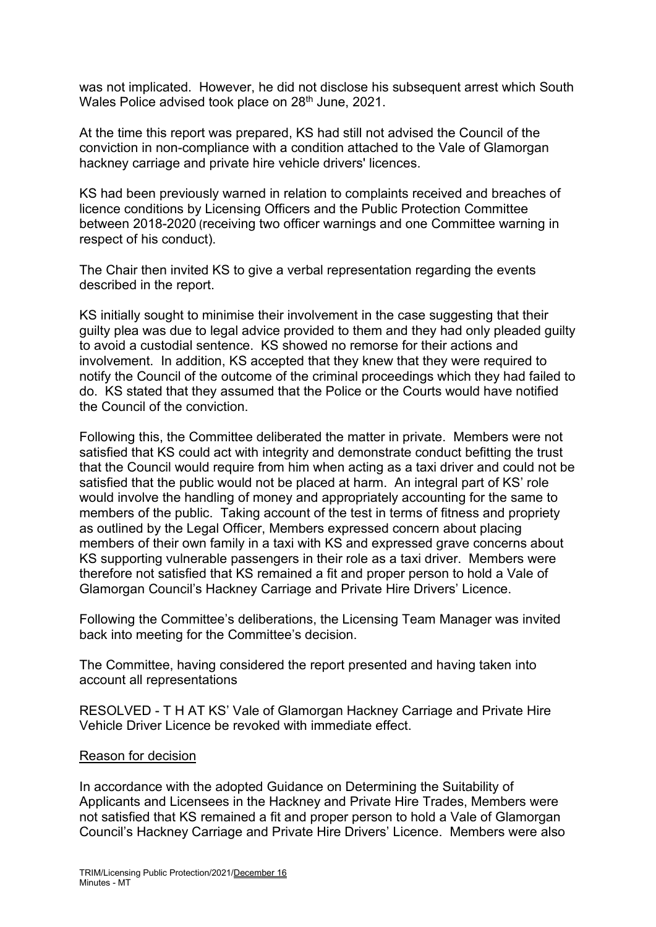was not implicated. However, he did not disclose his subsequent arrest which South Wales Police advised took place on 28<sup>th</sup> June, 2021.

At the time this report was prepared, KS had still not advised the Council of the conviction in non-compliance with a condition attached to the Vale of Glamorgan hackney carriage and private hire vehicle drivers' licences.

KS had been previously warned in relation to complaints received and breaches of licence conditions by Licensing Officers and the Public Protection Committee between 2018-2020 (receiving two officer warnings and one Committee warning in respect of his conduct).

The Chair then invited KS to give a verbal representation regarding the events described in the report.

KS initially sought to minimise their involvement in the case suggesting that their guilty plea was due to legal advice provided to them and they had only pleaded guilty to avoid a custodial sentence. KS showed no remorse for their actions and involvement. In addition, KS accepted that they knew that they were required to notify the Council of the outcome of the criminal proceedings which they had failed to do. KS stated that they assumed that the Police or the Courts would have notified the Council of the conviction.

Following this, the Committee deliberated the matter in private. Members were not satisfied that KS could act with integrity and demonstrate conduct befitting the trust that the Council would require from him when acting as a taxi driver and could not be satisfied that the public would not be placed at harm. An integral part of KS' role would involve the handling of money and appropriately accounting for the same to members of the public. Taking account of the test in terms of fitness and propriety as outlined by the Legal Officer, Members expressed concern about placing members of their own family in a taxi with KS and expressed grave concerns about KS supporting vulnerable passengers in their role as a taxi driver. Members were therefore not satisfied that KS remained a fit and proper person to hold a Vale of Glamorgan Council's Hackney Carriage and Private Hire Drivers' Licence.

Following the Committee's deliberations, the Licensing Team Manager was invited back into meeting for the Committee's decision.

The Committee, having considered the report presented and having taken into account all representations

RESOLVED - T H AT KS' Vale of Glamorgan Hackney Carriage and Private Hire Vehicle Driver Licence be revoked with immediate effect.

## Reason for decision

In accordance with the adopted Guidance on Determining the Suitability of Applicants and Licensees in the Hackney and Private Hire Trades, Members were not satisfied that KS remained a fit and proper person to hold a Vale of Glamorgan Council's Hackney Carriage and Private Hire Drivers' Licence. Members were also